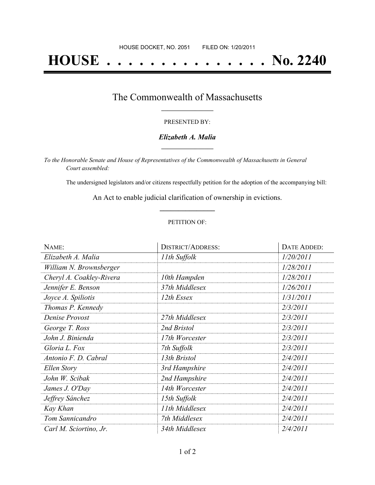# **HOUSE . . . . . . . . . . . . . . . No. 2240**

### The Commonwealth of Massachusetts **\_\_\_\_\_\_\_\_\_\_\_\_\_\_\_\_\_**

#### PRESENTED BY:

#### *Elizabeth A. Malia* **\_\_\_\_\_\_\_\_\_\_\_\_\_\_\_\_\_**

*To the Honorable Senate and House of Representatives of the Commonwealth of Massachusetts in General Court assembled:*

The undersigned legislators and/or citizens respectfully petition for the adoption of the accompanying bill:

An Act to enable judicial clarification of ownership in evictions. **\_\_\_\_\_\_\_\_\_\_\_\_\_\_\_**

#### PETITION OF:

| NAME:                    | <b>DISTRICT/ADDRESS:</b> | DATE ADDED: |
|--------------------------|--------------------------|-------------|
| Elizabeth A. Malia       | 11th Suffolk             | 1/20/2011   |
| William N. Brownsberger  |                          | 1/28/2011   |
| Cheryl A. Coakley-Rivera | 10th Hampden             | 1/28/2011   |
| Jennifer E. Benson       | 37th Middlesex           | 1/26/2011   |
| Joyce A. Spiliotis       | 12th Essex               | 1/31/2011   |
| Thomas P. Kennedy        |                          | 2/3/2011    |
| Denise Provost           | 27th Middlesex           | 2/3/2011    |
| George T. Ross           | 2nd Bristol              | 2/3/2011    |
| John J. Binienda         | 17th Worcester           | 2/3/2011    |
| Gloria L. Fox            | 7th Suffolk              | 2/3/2011    |
| Antonio F. D. Cabral     | 13th Bristol             | 2/4/2011    |
| Ellen Story              | 3rd Hampshire            | 2/4/2011    |
| John W. Scibak           | 2nd Hampshire            | 2/4/2011    |
| James J. O'Day           | 14th Worcester           | 2/4/2011    |
| Jeffrey Sánchez          | 15th Suffolk             | 2/4/2011    |
| Kay Khan                 | 11th Middlesex           | 2/4/2011    |
| Tom Sannicandro          | 7th Middlesex            | 2/4/2011    |
| Carl M. Sciortino, Jr.   | 34th Middlesex           | 2/4/2011    |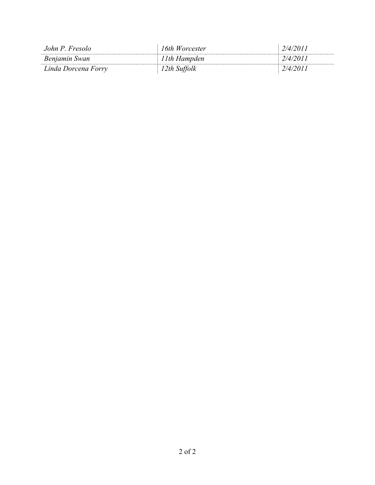| John P. Fresolo     | 16th Worcester | 2/4/2011 |
|---------------------|----------------|----------|
| Benjamin Swan       | 11th Hampden   | 2/4/2011 |
| Linda Dorcena Forry | 2th Suffolk    | 2/4/2011 |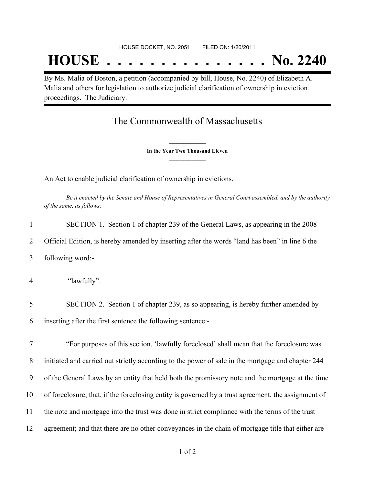## **HOUSE . . . . . . . . . . . . . . . No. 2240**

By Ms. Malia of Boston, a petition (accompanied by bill, House, No. 2240) of Elizabeth A. Malia and others for legislation to authorize judicial clarification of ownership in eviction proceedings. The Judiciary.

## The Commonwealth of Massachusetts

**\_\_\_\_\_\_\_\_\_\_\_\_\_\_\_ In the Year Two Thousand Eleven \_\_\_\_\_\_\_\_\_\_\_\_\_\_\_**

An Act to enable judicial clarification of ownership in evictions.

Be it enacted by the Senate and House of Representatives in General Court assembled, and by the authority *of the same, as follows:*

| 1  | SECTION 1. Section 1 of chapter 239 of the General Laws, as appearing in the 2008                   |
|----|-----------------------------------------------------------------------------------------------------|
| 2  | Official Edition, is hereby amended by inserting after the words "land has been" in line 6 the      |
| 3  | following word:-                                                                                    |
| 4  | "lawfully".                                                                                         |
| 5  | SECTION 2. Section 1 of chapter 239, as so appearing, is hereby further amended by                  |
| 6  | inserting after the first sentence the following sentence:-                                         |
| 7  | "For purposes of this section, 'lawfully foreclosed' shall mean that the foreclosure was            |
| 8  | initiated and carried out strictly according to the power of sale in the mortgage and chapter 244   |
| 9  | of the General Laws by an entity that held both the promissory note and the mortgage at the time    |
| 10 | of foreclosure; that, if the foreclosing entity is governed by a trust agreement, the assignment of |

- 11 the note and mortgage into the trust was done in strict compliance with the terms of the trust
- 12 agreement; and that there are no other conveyances in the chain of mortgage title that either are